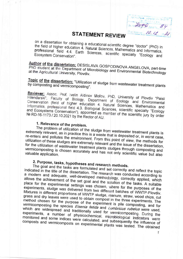Hope ser **PARKETA** la mana 10.12. x 21

## **STATEMENT REVIEW**

on a dissertation for obtaining a educational-scientific degree "doctor" (PhD) in the field of higher education 4. Natural Sciences, Mathematics and Informatics, professional field 4.4. Earth Sciences, scientific specialty "Ecology and Ecosystem Conservation".

Author of the dissertation: DESISLAVA GOSPODINOVA ANGELOVA, part-time PhD student at the Department of Microbiology and Environmental Biotechnology at the Agricultural University, Plovdiv.

### Topic of the dissertation: "Utilization of sludge from wastewater treatment plants by composting and vermicomposting".

Reviewer: Assoc. Prof. Ivelin Aldinov Mollov, PhD, University of Plovdiv "Paisii Hilendarski", Faculty of Biology, Department of Ecology and Environmental Conservation (field of higher education 4. Natural Sciences, Mathematics and Informatics, professional field 4.3. Biological Sciences, scientific specialty "Ecology and Ecosystems Conservation"), appointed as member of the scientific jury by order № RD-16-1173 / 20.10.2021 by the Rector of AU.

## 1. Relevance of the problem.

The problem of utilization of the sludge from wastewater treatment plants is extremely relevant, as in practice this is a waste that is deposited or, in worst case, re-enters and pollutes the environment. From this point of view, the methods for utilization of these sludges are extremely relevant and the issue of the dissertation, for the utilization of wastewater treatment plants sludges through composting and vermicomposting is chosen accurately and has not only scientific value but also

# 2. Purpose, tasks, hypotheses and research methods.

The goal and the tasks are formulated and set correctly and reflect the topic indicated in the title of the dissertation. The research was conducted according to a modern and adequate, well-developed methodology, correctly applied, which allows the achievement of the set goal and the solution of the tasks. A suitable place for the experimental settings was chosen, where for the purposes of the experiments, sludge was delivered from two different batches of WWTP-Plovdiv. Mixtures in different proportions of WWTP sludge, manure, straw, wood chips, cut grass and dry leaves were used to obtain compost in the three experiments. The method chosen for the purpose of the experiment is pile composting, and for vermicomposting the species Eisenia fetida and Lumbricus rubelus were used, which are widespread and traditionally used for vermicomposting. During the experiments, a number of physicochemical, microbiological indicators were monitored and some indices were calculated, and subsequently the influence of composts and vermicomposts on experimental plants was tested. The obtained

 $\mathcal I$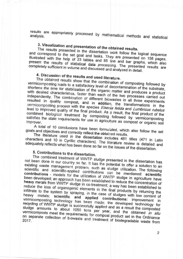results are appropriately processed by mathematical methods and statistical

# 3. Visualization and presentation of the obtained results.

The results presented in the dissertation work follow the logical sequence and correspond to the set goal and tasks. They are presented on 158 pages, illustrated with the help of 23 tables and 85 line and bar graphs, which also present the results of statistical data processing. The presented results are completely sufficient in volume and discussed and analyzed in detail.

## 4. Discussion of the results and used literature.

The obtained results show that the combination of composting followed by vermicomposting leads to a satisfactory level of decontamination of the substrate, shortens the time for stabilization of the organic matter and produces a product with desired characteristics, faster than each of the two processes carried out independently. The combination of different biowastes in all three experiments resulted in quality compost, and in addition, the transformations in the vermicomposting process with the species Eisenia fetida and Lumbricus rubelus lead to improved quality of the final product. As a result, the final product of the combined biological treatment by composting followed by vermicomposting satisfies the state requirements for use in agriculture as compost or organic soil

A total of 10 conclusions have been formulated, which also follow the set goals and objectives and correctly reflect the obtained results.

The literature used in the dissertation includes 481 titles (471 in Latin characters and 10 in Cyrillic characters). The literature review is detailed and adequately reflects what has been done so far on the issues of the dissertation.

## 5. Contributions to the dissertation.

The combined treatment of WWTP sludge presented in the dissertation has not been done in our country so far. It has the potential to offer a solution to an existing waste management problem, such as sludge utilization. The following scientific and scientific-applied contributions can be mentioned: scientific contributions - models for the utilization of WWTP sludge in agriculture have been developed; an approach has been established to reduce the concentration of heavy metals from WWTP sludge in co-treatment; a way has been established to reduce the loss of organogenic elements in the final products by returning the infiltrate to the system by spraying, in the case of sludges with low content of metals; scientific and applied contributions: improvement in vermicomposting technology has been made; the developed technology for recycling of WWTP sludge is successfully applied and as a result the composted sludge amounts to about 1050 tons per year, and the obtained in situ vermicomposts meet the requirements for compost product set in the Ordinance on separate collection of biowaste and treatment of biodegradable waste from